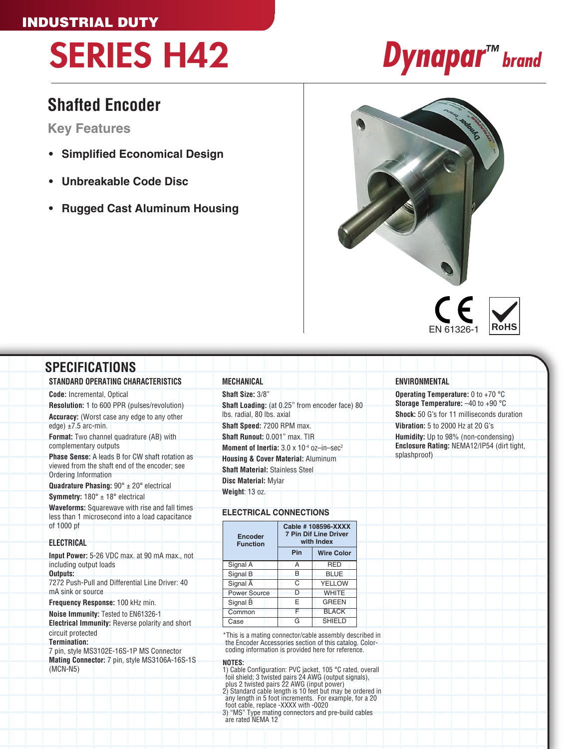### INDUSTRIAL DUTY

# SERIES H42 *Dynapar™ brand*

## **Shafted Encoder**

**Key Features**

- **• Simplified Economical Design**
- **• Unbreakable Code Disc**
- **• Rugged Cast Aluminum Housing**





### **SPECIFICATIONS STANDARD OPERATING CHARACTERISTICS**

**Code:** Incremental, Optical **Resolution:** 1 to 600 PPR (pulses/revolution) **Accuracy:** (Worst case any edge to any other edge)  $\pm 7.5$  arc-min.

**Format:** Two channel quadrature (AB) with complementary outputs

**Phase Sense:** A leads B for CW shaft rotation as viewed from the shaft end of the encoder; see Ordering Information

**Quadrature Phasing:** 90° ± 20° electrical **Symmetry:** 180° ± 18° electrical

**Waveforms:** Squarewave with rise and fall times less than 1 microsecond into a load capacitance of 1000 pf

### **ELECTRICAL**

**Input Power:** 5-26 VDC max. at 90 mA max., not including output loads **Outputs:** 7272 Push-Pull and Differential Line Driver: 40 mA sink or source

**Frequency Response:** 100 kHz min.

**Noise Immunity:** Tested to EN61326-1 **Electrical Immunity:** Reverse polarity and short circuit protected **Termination:**

7 pin, style MS3102E-16S-1P MS Connector **Mating Connector:** 7 pin, style MS3106A-16S-1S (MCN-N5)

### **MECHANICAL**

### **Shaft Size:** 3/8" **Shaft Loading:** (at 0.25" from encoder face) 80 lbs. radial, 80 lbs. axial

**Shaft Speed:** 7200 RPM max.

**Shaft Runout:** 0.001" max. TIR

**Moment of Inertia:** 3.0 x 10-4 oz–in–sec2

**Housing & Cover Material:** Aluminum **Shaft Material:** Stainless Steel

**Disc Material:** Mylar **Weight**: 13 oz.

### **ELECTRICAL CONNECTIONS**

| <b>Encoder</b><br><b>Function</b> | Cable #108596-XXXX<br><b>7 Pin Dif Line Driver</b><br>with Index |                   |
|-----------------------------------|------------------------------------------------------------------|-------------------|
|                                   | Pin                                                              | <b>Wire Color</b> |
| Signal A                          | А                                                                | <b>RED</b>        |
| Signal B                          | R                                                                | <b>BLUE</b>       |
| Signal A                          | C                                                                | <b>YELLOW</b>     |
| <b>Power Source</b>               | n                                                                | <b>WHITE</b>      |
| Signal B                          | F                                                                | <b>GREEN</b>      |
| Common                            |                                                                  | <b>BLACK</b>      |
| Case                              | G                                                                | <b>SHIELD</b>     |

\*This is a mating connector/cable assembly described in the Encoder Accessories section of this catalog. Color-coding information is provided here for reference.

**NOTES:**<br>1) Cable Configuration: PVC jacket, 105 °C rated, overall<br>foil shield; 3 twisted pairs 24 AWG (output signals),<br>plus 2 twisted pairs 22 AWG (input power)<br>2) Standard cable length is 10 feet but may be ordered in

any length in 5 foot increments. For example, for a 20 foot cable, replace -XXXX with -0020 3) "MS" Type mating connectors and pre-build cables are rated NEMA 12

### **ENVIRONMENTAL**

**Operating Temperature:** 0 to +70 °C **Storage Temperature:** –40 to +90 °C **Shock:** 50 G's for 11 milliseconds duration **Vibration:** 5 to 2000 Hz at 20 G's **Humidity:** Up to 98% (non-condensing) **Enclosure Rating:** NEMA12/IP54 (dirt tight, splashproof)